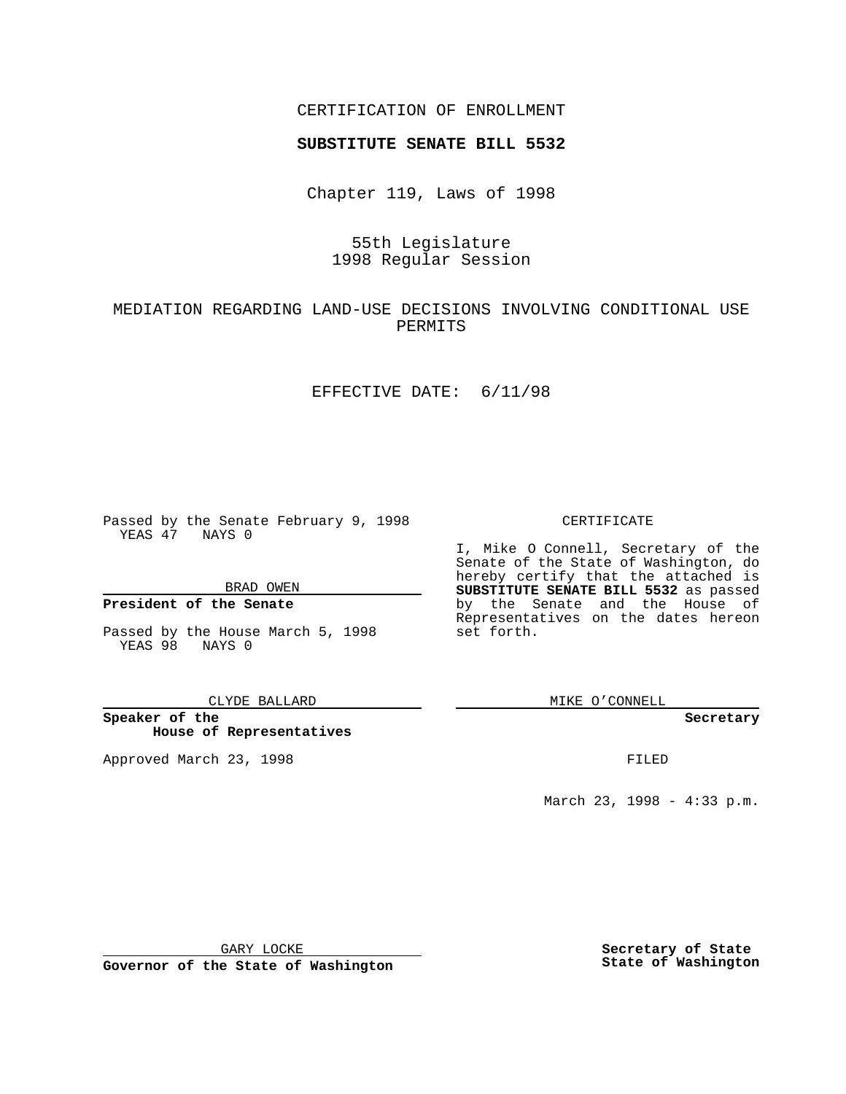## CERTIFICATION OF ENROLLMENT

# **SUBSTITUTE SENATE BILL 5532**

Chapter 119, Laws of 1998

# 55th Legislature 1998 Regular Session

# MEDIATION REGARDING LAND-USE DECISIONS INVOLVING CONDITIONAL USE PERMITS

## EFFECTIVE DATE: 6/11/98

Passed by the Senate February 9, 1998 YEAS 47 NAYS 0

## BRAD OWEN

## **President of the Senate**

Passed by the House March 5, 1998 YEAS 98 NAYS 0

### CLYDE BALLARD

**Speaker of the House of Representatives**

Approved March 23, 1998 **FILED** 

## CERTIFICATE

I, Mike O Connell, Secretary of the Senate of the State of Washington, do hereby certify that the attached is **SUBSTITUTE SENATE BILL 5532** as passed by the Senate and the House of Representatives on the dates hereon set forth.

MIKE O'CONNELL

### **Secretary**

March 23, 1998 - 4:33 p.m.

GARY LOCKE

**Governor of the State of Washington**

**Secretary of State State of Washington**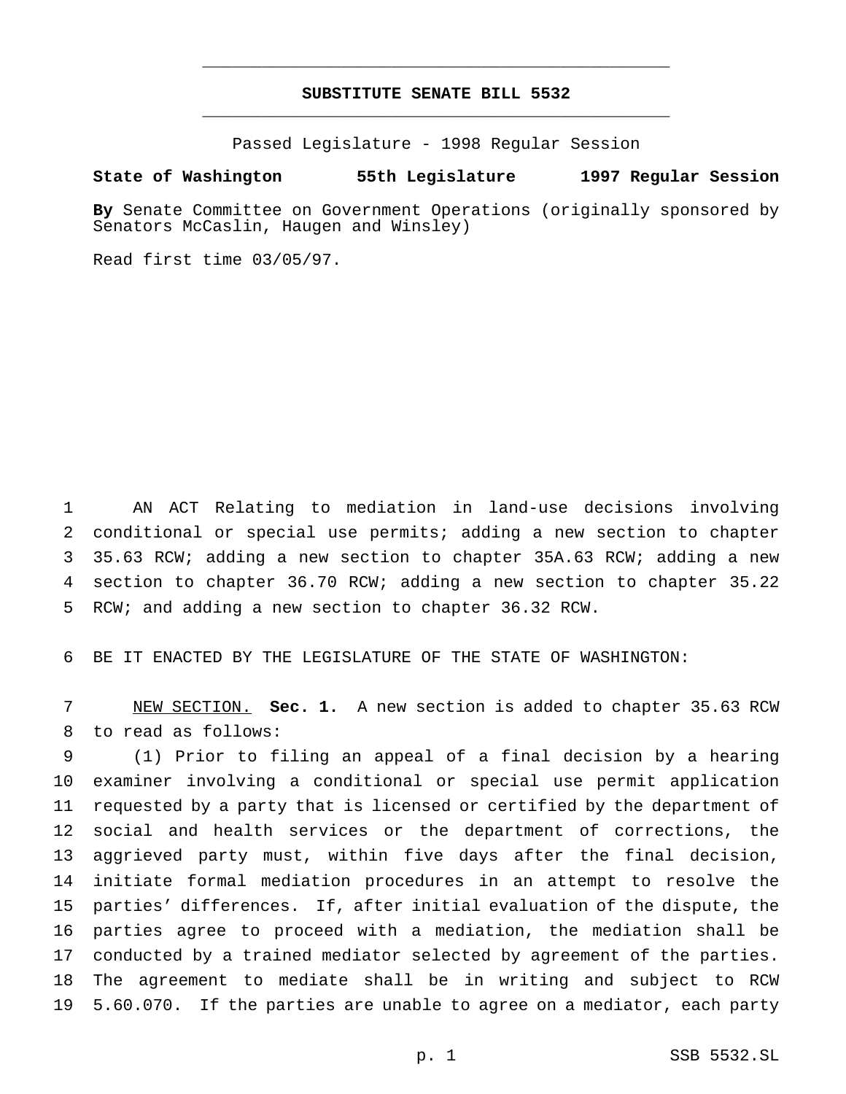# **SUBSTITUTE SENATE BILL 5532** \_\_\_\_\_\_\_\_\_\_\_\_\_\_\_\_\_\_\_\_\_\_\_\_\_\_\_\_\_\_\_\_\_\_\_\_\_\_\_\_\_\_\_\_\_\_\_

\_\_\_\_\_\_\_\_\_\_\_\_\_\_\_\_\_\_\_\_\_\_\_\_\_\_\_\_\_\_\_\_\_\_\_\_\_\_\_\_\_\_\_\_\_\_\_

Passed Legislature - 1998 Regular Session

## **State of Washington 55th Legislature 1997 Regular Session**

**By** Senate Committee on Government Operations (originally sponsored by Senators McCaslin, Haugen and Winsley)

Read first time 03/05/97.

 AN ACT Relating to mediation in land-use decisions involving conditional or special use permits; adding a new section to chapter 35.63 RCW; adding a new section to chapter 35A.63 RCW; adding a new section to chapter 36.70 RCW; adding a new section to chapter 35.22 RCW; and adding a new section to chapter 36.32 RCW.

BE IT ENACTED BY THE LEGISLATURE OF THE STATE OF WASHINGTON:

 NEW SECTION. **Sec. 1.** A new section is added to chapter 35.63 RCW to read as follows:

 (1) Prior to filing an appeal of a final decision by a hearing examiner involving a conditional or special use permit application requested by a party that is licensed or certified by the department of social and health services or the department of corrections, the aggrieved party must, within five days after the final decision, initiate formal mediation procedures in an attempt to resolve the parties' differences. If, after initial evaluation of the dispute, the parties agree to proceed with a mediation, the mediation shall be conducted by a trained mediator selected by agreement of the parties. The agreement to mediate shall be in writing and subject to RCW 5.60.070. If the parties are unable to agree on a mediator, each party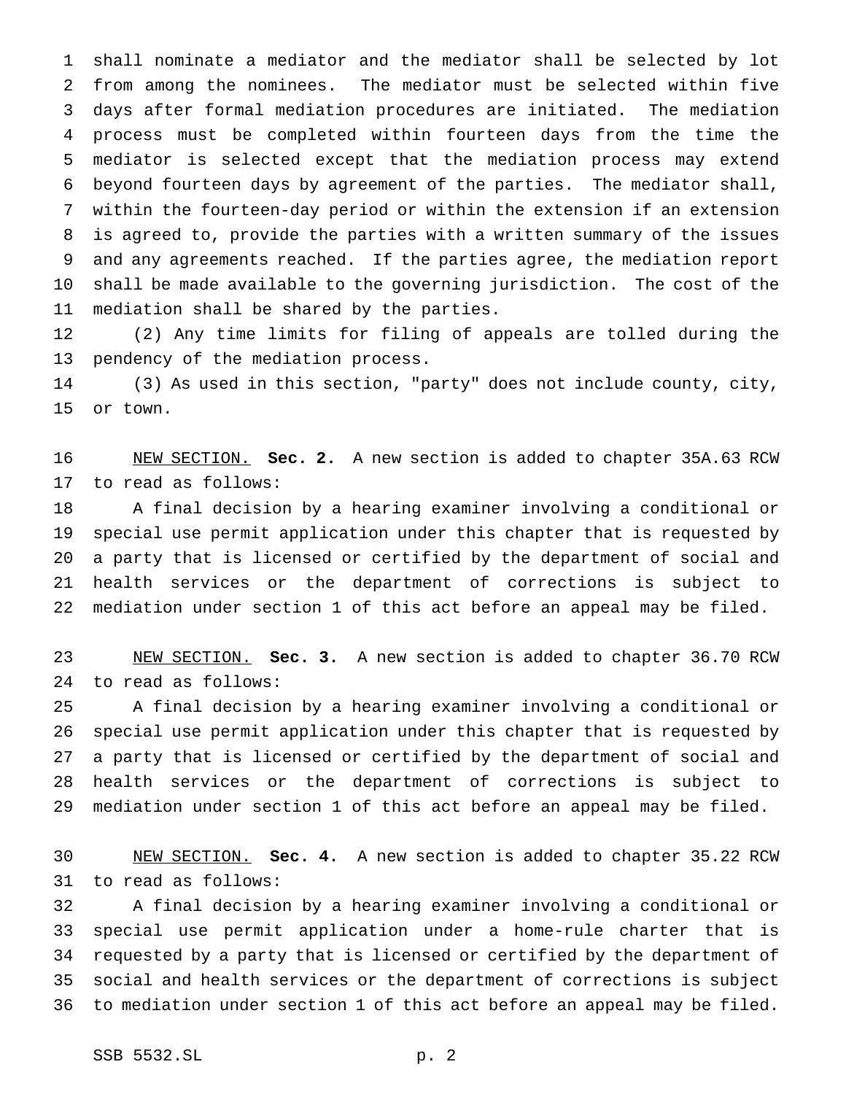shall nominate a mediator and the mediator shall be selected by lot from among the nominees. The mediator must be selected within five days after formal mediation procedures are initiated. The mediation process must be completed within fourteen days from the time the mediator is selected except that the mediation process may extend beyond fourteen days by agreement of the parties. The mediator shall, within the fourteen-day period or within the extension if an extension is agreed to, provide the parties with a written summary of the issues and any agreements reached. If the parties agree, the mediation report shall be made available to the governing jurisdiction. The cost of the mediation shall be shared by the parties.

 (2) Any time limits for filing of appeals are tolled during the pendency of the mediation process.

 (3) As used in this section, "party" does not include county, city, or town.

 NEW SECTION. **Sec. 2.** A new section is added to chapter 35A.63 RCW to read as follows:

 A final decision by a hearing examiner involving a conditional or special use permit application under this chapter that is requested by a party that is licensed or certified by the department of social and health services or the department of corrections is subject to mediation under section 1 of this act before an appeal may be filed.

 NEW SECTION. **Sec. 3.** A new section is added to chapter 36.70 RCW to read as follows:

 A final decision by a hearing examiner involving a conditional or special use permit application under this chapter that is requested by a party that is licensed or certified by the department of social and health services or the department of corrections is subject to mediation under section 1 of this act before an appeal may be filed.

 NEW SECTION. **Sec. 4.** A new section is added to chapter 35.22 RCW to read as follows:

 A final decision by a hearing examiner involving a conditional or special use permit application under a home-rule charter that is requested by a party that is licensed or certified by the department of social and health services or the department of corrections is subject to mediation under section 1 of this act before an appeal may be filed.